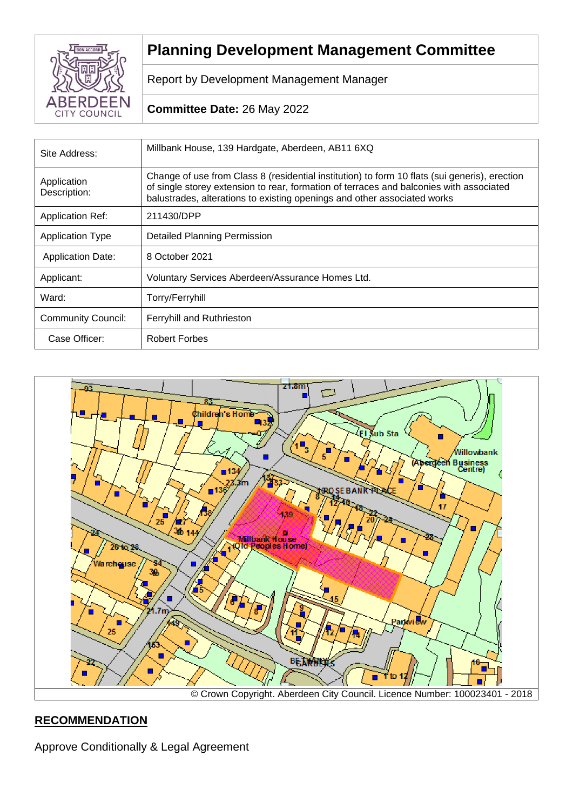

# **Planning Development Management Committee**

Report by Development Management Manager

## **Committee Date:** 26 May 2022

| Site Address:               | Millbank House, 139 Hardgate, Aberdeen, AB11 6XQ                                                                                                                                                                                                                     |
|-----------------------------|----------------------------------------------------------------------------------------------------------------------------------------------------------------------------------------------------------------------------------------------------------------------|
| Application<br>Description: | Change of use from Class 8 (residential institution) to form 10 flats (sui generis), erection<br>of single storey extension to rear, formation of terraces and balconies with associated<br>balustrades, alterations to existing openings and other associated works |
| <b>Application Ref:</b>     | 211430/DPP                                                                                                                                                                                                                                                           |
| <b>Application Type</b>     | <b>Detailed Planning Permission</b>                                                                                                                                                                                                                                  |
| <b>Application Date:</b>    | 8 October 2021                                                                                                                                                                                                                                                       |
| Applicant:                  | Voluntary Services Aberdeen/Assurance Homes Ltd.                                                                                                                                                                                                                     |
| Ward:                       | Torry/Ferryhill                                                                                                                                                                                                                                                      |
| <b>Community Council:</b>   | <b>Ferryhill and Ruthrieston</b>                                                                                                                                                                                                                                     |
| Case Officer:               | <b>Robert Forbes</b>                                                                                                                                                                                                                                                 |



## **RECOMMENDATION**

Approve Conditionally & Legal Agreement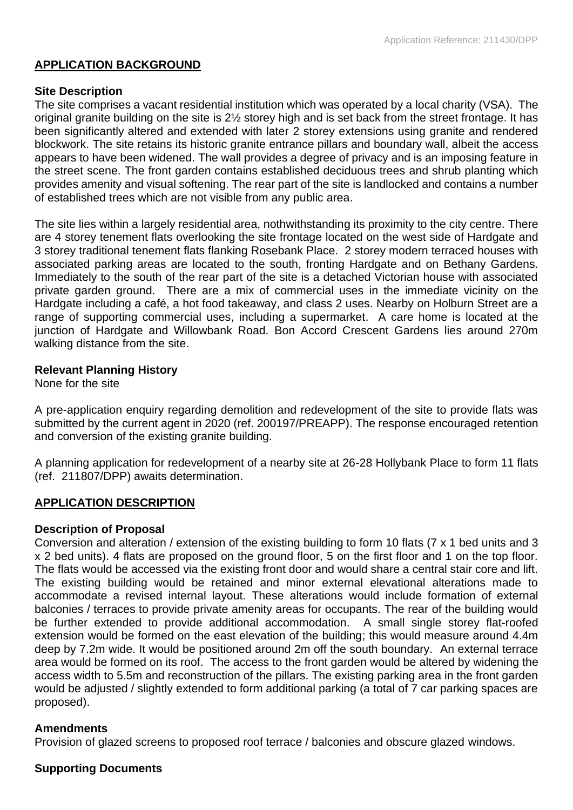## **APPLICATION BACKGROUND**

## **Site Description**

The site comprises a vacant residential institution which was operated by a local charity (VSA). The original granite building on the site is 2½ storey high and is set back from the street frontage. It has been significantly altered and extended with later 2 storey extensions using granite and rendered blockwork. The site retains its historic granite entrance pillars and boundary wall, albeit the access appears to have been widened. The wall provides a degree of privacy and is an imposing feature in the street scene. The front garden contains established deciduous trees and shrub planting which provides amenity and visual softening. The rear part of the site is landlocked and contains a number of established trees which are not visible from any public area.

The site lies within a largely residential area, nothwithstanding its proximity to the city centre. There are 4 storey tenement flats overlooking the site frontage located on the west side of Hardgate and 3 storey traditional tenement flats flanking Rosebank Place. 2 storey modern terraced houses with associated parking areas are located to the south, fronting Hardgate and on Bethany Gardens. Immediately to the south of the rear part of the site is a detached Victorian house with associated private garden ground. There are a mix of commercial uses in the immediate vicinity on the Hardgate including a café, a hot food takeaway, and class 2 uses. Nearby on Holburn Street are a range of supporting commercial uses, including a supermarket. A care home is located at the junction of Hardgate and Willowbank Road. Bon Accord Crescent Gardens lies around 270m walking distance from the site.

## **Relevant Planning History**

None for the site

A pre-application enquiry regarding demolition and redevelopment of the site to provide flats was submitted by the current agent in 2020 (ref. 200197/PREAPP). The response encouraged retention and conversion of the existing granite building.

A planning application for redevelopment of a nearby site at 26-28 Hollybank Place to form 11 flats (ref. 211807/DPP) awaits determination.

## **APPLICATION DESCRIPTION**

## **Description of Proposal**

Conversion and alteration / extension of the existing building to form 10 flats (7 x 1 bed units and 3 x 2 bed units). 4 flats are proposed on the ground floor, 5 on the first floor and 1 on the top floor. The flats would be accessed via the existing front door and would share a central stair core and lift. The existing building would be retained and minor external elevational alterations made to accommodate a revised internal layout. These alterations would include formation of external balconies / terraces to provide private amenity areas for occupants. The rear of the building would be further extended to provide additional accommodation. A small single storey flat-roofed extension would be formed on the east elevation of the building; this would measure around 4.4m deep by 7.2m wide. It would be positioned around 2m off the south boundary. An external terrace area would be formed on its roof. The access to the front garden would be altered by widening the access width to 5.5m and reconstruction of the pillars. The existing parking area in the front garden would be adjusted / slightly extended to form additional parking (a total of 7 car parking spaces are proposed).

## **Amendments**

Provision of glazed screens to proposed roof terrace / balconies and obscure glazed windows.

## **Supporting Documents**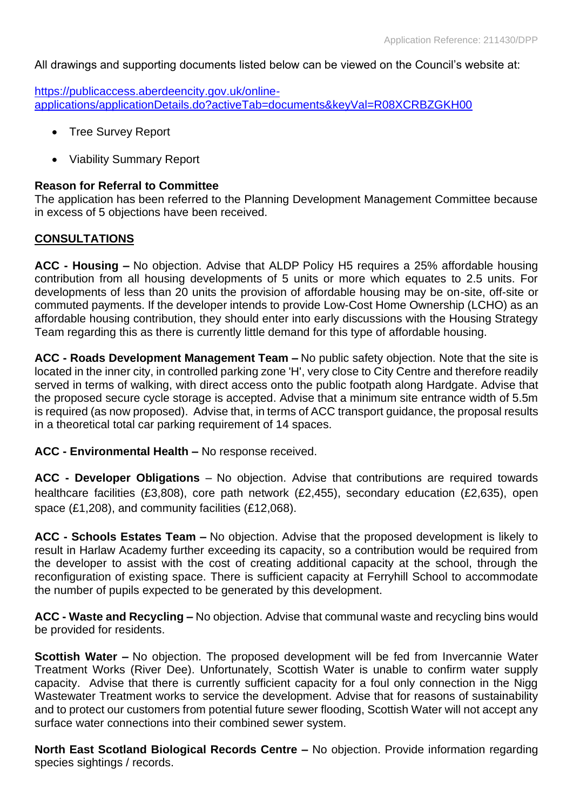All drawings and supporting documents listed below can be viewed on the Council's website at:

[https://publicaccess.aberdeencity.gov.uk/online](https://publicaccess.aberdeencity.gov.uk/online-applications/applicationDetails.do?activeTab=documents&keyVal=R08XCRBZGKH00)[applications/applicationDetails.do?activeTab=documents&keyVal=R08XCRBZGKH00](https://publicaccess.aberdeencity.gov.uk/online-applications/applicationDetails.do?activeTab=documents&keyVal=R08XCRBZGKH00)

- Tree Survey Report
- Viability Summary Report

#### **Reason for Referral to Committee**

The application has been referred to the Planning Development Management Committee because in excess of 5 objections have been received.

#### **CONSULTATIONS**

**ACC - Housing –** No objection. Advise that ALDP Policy H5 requires a 25% affordable housing contribution from all housing developments of 5 units or more which equates to 2.5 units. For developments of less than 20 units the provision of affordable housing may be on-site, off-site or commuted payments. If the developer intends to provide Low-Cost Home Ownership (LCHO) as an affordable housing contribution, they should enter into early discussions with the Housing Strategy Team regarding this as there is currently little demand for this type of affordable housing.

**ACC - Roads Development Management Team –** No public safety objection. Note that the site is located in the inner city, in controlled parking zone 'H', very close to City Centre and therefore readily served in terms of walking, with direct access onto the public footpath along Hardgate. Advise that the proposed secure cycle storage is accepted. Advise that a minimum site entrance width of 5.5m is required (as now proposed). Advise that, in terms of ACC transport guidance, the proposal results in a theoretical total car parking requirement of 14 spaces.

#### **ACC - Environmental Health –** No response received.

**ACC - Developer Obligations** – No objection. Advise that contributions are required towards healthcare facilities (£3,808), core path network (£2,455), secondary education (£2,635), open space (£1,208), and community facilities (£12,068).

**ACC - Schools Estates Team –** No objection. Advise that the proposed development is likely to result in Harlaw Academy further exceeding its capacity, so a contribution would be required from the developer to assist with the cost of creating additional capacity at the school, through the reconfiguration of existing space. There is sufficient capacity at Ferryhill School to accommodate the number of pupils expected to be generated by this development.

**ACC - Waste and Recycling –** No objection. Advise that communal waste and recycling bins would be provided for residents.

**Scottish Water –** No objection. The proposed development will be fed from Invercannie Water Treatment Works (River Dee). Unfortunately, Scottish Water is unable to confirm water supply capacity. Advise that there is currently sufficient capacity for a foul only connection in the Nigg Wastewater Treatment works to service the development. Advise that for reasons of sustainability and to protect our customers from potential future sewer flooding, Scottish Water will not accept any surface water connections into their combined sewer system.

**North East Scotland Biological Records Centre –** No objection. Provide information regarding species sightings / records.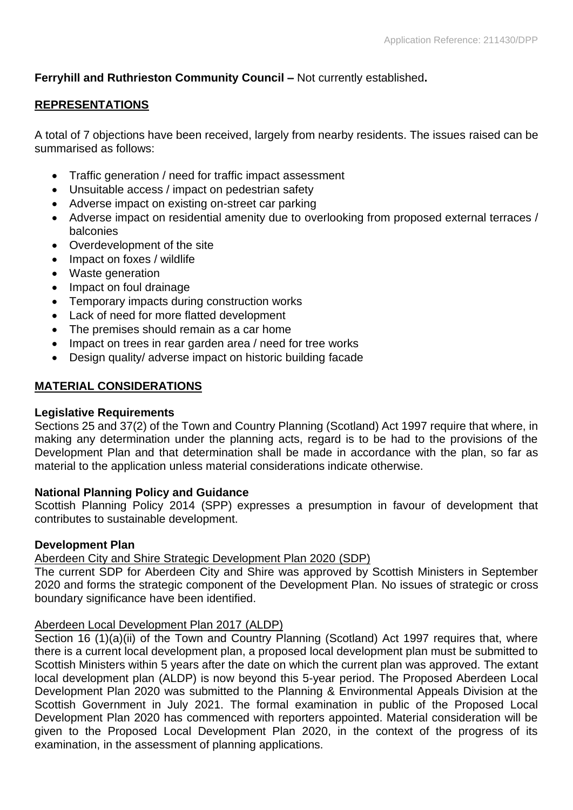# **Ferryhill and Ruthrieston Community Council –** Not currently established**.**

## **REPRESENTATIONS**

A total of 7 objections have been received, largely from nearby residents. The issues raised can be summarised as follows:

- Traffic generation / need for traffic impact assessment
- Unsuitable access / impact on pedestrian safety
- Adverse impact on existing on-street car parking
- Adverse impact on residential amenity due to overlooking from proposed external terraces / balconies
- Overdevelopment of the site
- Impact on foxes / wildlife
- Waste generation
- Impact on foul drainage
- Temporary impacts during construction works
- Lack of need for more flatted development
- The premises should remain as a car home
- Impact on trees in rear garden area / need for tree works
- Design quality/ adverse impact on historic building facade

# **MATERIAL CONSIDERATIONS**

## **Legislative Requirements**

Sections 25 and 37(2) of the Town and Country Planning (Scotland) Act 1997 require that where, in making any determination under the planning acts, regard is to be had to the provisions of the Development Plan and that determination shall be made in accordance with the plan, so far as material to the application unless material considerations indicate otherwise.

## **National Planning Policy and Guidance**

Scottish Planning Policy 2014 (SPP) expresses a presumption in favour of development that contributes to sustainable development.

## **Development Plan**

Aberdeen City and Shire Strategic Development Plan 2020 (SDP)

The current SDP for Aberdeen City and Shire was approved by Scottish Ministers in September 2020 and forms the strategic component of the Development Plan. No issues of strategic or cross boundary significance have been identified.

## Aberdeen Local Development Plan 2017 (ALDP)

Section 16 (1)(a)(ii) of the Town and Country Planning (Scotland) Act 1997 requires that, where there is a current local development plan, a proposed local development plan must be submitted to Scottish Ministers within 5 years after the date on which the current plan was approved. The extant local development plan (ALDP) is now beyond this 5-year period. The Proposed Aberdeen Local Development Plan 2020 was submitted to the Planning & Environmental Appeals Division at the Scottish Government in July 2021. The formal examination in public of the Proposed Local Development Plan 2020 has commenced with reporters appointed. Material consideration will be given to the Proposed Local Development Plan 2020, in the context of the progress of its examination, in the assessment of planning applications.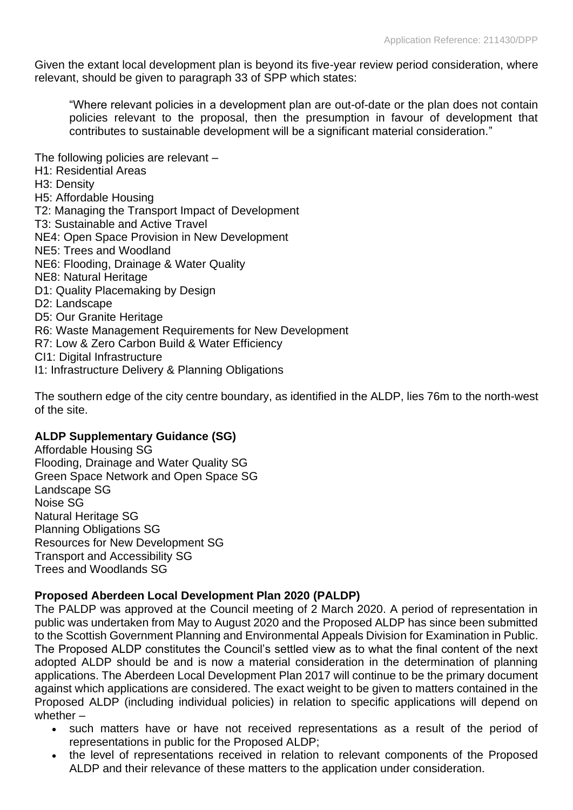Given the extant local development plan is beyond its five-year review period consideration, where relevant, should be given to paragraph 33 of SPP which states:

"Where relevant policies in a development plan are out-of-date or the plan does not contain policies relevant to the proposal, then the presumption in favour of development that contributes to sustainable development will be a significant material consideration."

The following policies are relevant –

- H1: Residential Areas
- H3: Density
- H5: Affordable Housing
- T2: Managing the Transport Impact of Development
- T3: Sustainable and Active Travel
- NE4: Open Space Provision in New Development
- NE5: Trees and Woodland
- NE6: Flooding, Drainage & Water Quality
- NE8: Natural Heritage
- D1: Quality Placemaking by Design
- D2: Landscape
- D5: Our Granite Heritage
- R6: Waste Management Requirements for New Development
- R7: Low & Zero Carbon Build & Water Efficiency
- CI1: Digital Infrastructure
- I1: Infrastructure Delivery & Planning Obligations

The southern edge of the city centre boundary, as identified in the ALDP, lies 76m to the north-west of the site.

## **ALDP Supplementary Guidance (SG)**

Affordable Housing SG Flooding, Drainage and Water Quality SG Green Space Network and Open Space SG Landscape SG Noise SG Natural Heritage SG Planning Obligations SG Resources for New Development SG Transport and Accessibility SG Trees and Woodlands SG

## **Proposed Aberdeen Local Development Plan 2020 (PALDP)**

The PALDP was approved at the Council meeting of 2 March 2020. A period of representation in public was undertaken from May to August 2020 and the Proposed ALDP has since been submitted to the Scottish Government Planning and Environmental Appeals Division for Examination in Public. The Proposed ALDP constitutes the Council's settled view as to what the final content of the next adopted ALDP should be and is now a material consideration in the determination of planning applications. The Aberdeen Local Development Plan 2017 will continue to be the primary document against which applications are considered. The exact weight to be given to matters contained in the Proposed ALDP (including individual policies) in relation to specific applications will depend on whether –

- such matters have or have not received representations as a result of the period of representations in public for the Proposed ALDP;
- the level of representations received in relation to relevant components of the Proposed ALDP and their relevance of these matters to the application under consideration.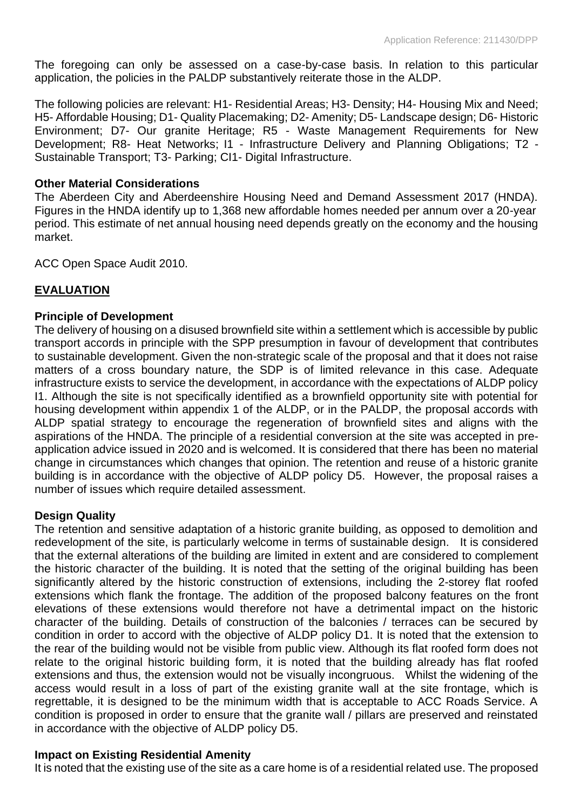The foregoing can only be assessed on a case-by-case basis. In relation to this particular application, the policies in the PALDP substantively reiterate those in the ALDP.

The following policies are relevant: H1- Residential Areas; H3- Density; H4- Housing Mix and Need; H5- Affordable Housing; D1- Quality Placemaking; D2- Amenity; D5- Landscape design; D6- Historic Environment; D7- Our granite Heritage; R5 - Waste Management Requirements for New Development; R8- Heat Networks; I1 - Infrastructure Delivery and Planning Obligations; T2 - Sustainable Transport; T3- Parking; CI1- Digital Infrastructure.

## **Other Material Considerations**

The Aberdeen City and Aberdeenshire Housing Need and Demand Assessment 2017 (HNDA). Figures in the HNDA identify up to 1,368 new affordable homes needed per annum over a 20-year period. This estimate of net annual housing need depends greatly on the economy and the housing market.

ACC Open Space Audit 2010.

## **EVALUATION**

## **Principle of Development**

The delivery of housing on a disused brownfield site within a settlement which is accessible by public transport accords in principle with the SPP presumption in favour of development that contributes to sustainable development. Given the non-strategic scale of the proposal and that it does not raise matters of a cross boundary nature, the SDP is of limited relevance in this case. Adequate infrastructure exists to service the development, in accordance with the expectations of ALDP policy I1. Although the site is not specifically identified as a brownfield opportunity site with potential for housing development within appendix 1 of the ALDP, or in the PALDP, the proposal accords with ALDP spatial strategy to encourage the regeneration of brownfield sites and aligns with the aspirations of the HNDA. The principle of a residential conversion at the site was accepted in preapplication advice issued in 2020 and is welcomed. It is considered that there has been no material change in circumstances which changes that opinion. The retention and reuse of a historic granite building is in accordance with the objective of ALDP policy D5. However, the proposal raises a number of issues which require detailed assessment.

## **Design Quality**

The retention and sensitive adaptation of a historic granite building, as opposed to demolition and redevelopment of the site, is particularly welcome in terms of sustainable design. It is considered that the external alterations of the building are limited in extent and are considered to complement the historic character of the building. It is noted that the setting of the original building has been significantly altered by the historic construction of extensions, including the 2-storey flat roofed extensions which flank the frontage. The addition of the proposed balcony features on the front elevations of these extensions would therefore not have a detrimental impact on the historic character of the building. Details of construction of the balconies / terraces can be secured by condition in order to accord with the objective of ALDP policy D1. It is noted that the extension to the rear of the building would not be visible from public view. Although its flat roofed form does not relate to the original historic building form, it is noted that the building already has flat roofed extensions and thus, the extension would not be visually incongruous. Whilst the widening of the access would result in a loss of part of the existing granite wall at the site frontage, which is regrettable, it is designed to be the minimum width that is acceptable to ACC Roads Service. A condition is proposed in order to ensure that the granite wall / pillars are preserved and reinstated in accordance with the objective of ALDP policy D5.

## **Impact on Existing Residential Amenity**

It is noted that the existing use of the site as a care home is of a residential related use. The proposed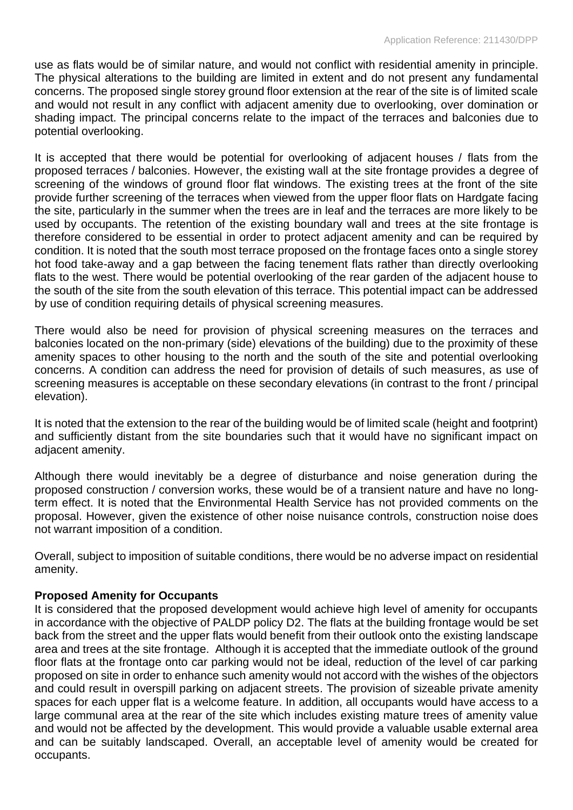use as flats would be of similar nature, and would not conflict with residential amenity in principle. The physical alterations to the building are limited in extent and do not present any fundamental concerns. The proposed single storey ground floor extension at the rear of the site is of limited scale and would not result in any conflict with adjacent amenity due to overlooking, over domination or shading impact. The principal concerns relate to the impact of the terraces and balconies due to potential overlooking.

It is accepted that there would be potential for overlooking of adjacent houses / flats from the proposed terraces / balconies. However, the existing wall at the site frontage provides a degree of screening of the windows of ground floor flat windows. The existing trees at the front of the site provide further screening of the terraces when viewed from the upper floor flats on Hardgate facing the site, particularly in the summer when the trees are in leaf and the terraces are more likely to be used by occupants. The retention of the existing boundary wall and trees at the site frontage is therefore considered to be essential in order to protect adjacent amenity and can be required by condition. It is noted that the south most terrace proposed on the frontage faces onto a single storey hot food take-away and a gap between the facing tenement flats rather than directly overlooking flats to the west. There would be potential overlooking of the rear garden of the adjacent house to the south of the site from the south elevation of this terrace. This potential impact can be addressed by use of condition requiring details of physical screening measures.

There would also be need for provision of physical screening measures on the terraces and balconies located on the non-primary (side) elevations of the building) due to the proximity of these amenity spaces to other housing to the north and the south of the site and potential overlooking concerns. A condition can address the need for provision of details of such measures, as use of screening measures is acceptable on these secondary elevations (in contrast to the front / principal elevation).

It is noted that the extension to the rear of the building would be of limited scale (height and footprint) and sufficiently distant from the site boundaries such that it would have no significant impact on adjacent amenity.

Although there would inevitably be a degree of disturbance and noise generation during the proposed construction / conversion works, these would be of a transient nature and have no longterm effect. It is noted that the Environmental Health Service has not provided comments on the proposal. However, given the existence of other noise nuisance controls, construction noise does not warrant imposition of a condition.

Overall, subject to imposition of suitable conditions, there would be no adverse impact on residential amenity.

## **Proposed Amenity for Occupants**

It is considered that the proposed development would achieve high level of amenity for occupants in accordance with the objective of PALDP policy D2. The flats at the building frontage would be set back from the street and the upper flats would benefit from their outlook onto the existing landscape area and trees at the site frontage. Although it is accepted that the immediate outlook of the ground floor flats at the frontage onto car parking would not be ideal, reduction of the level of car parking proposed on site in order to enhance such amenity would not accord with the wishes of the objectors and could result in overspill parking on adjacent streets. The provision of sizeable private amenity spaces for each upper flat is a welcome feature. In addition, all occupants would have access to a large communal area at the rear of the site which includes existing mature trees of amenity value and would not be affected by the development. This would provide a valuable usable external area and can be suitably landscaped. Overall, an acceptable level of amenity would be created for occupants.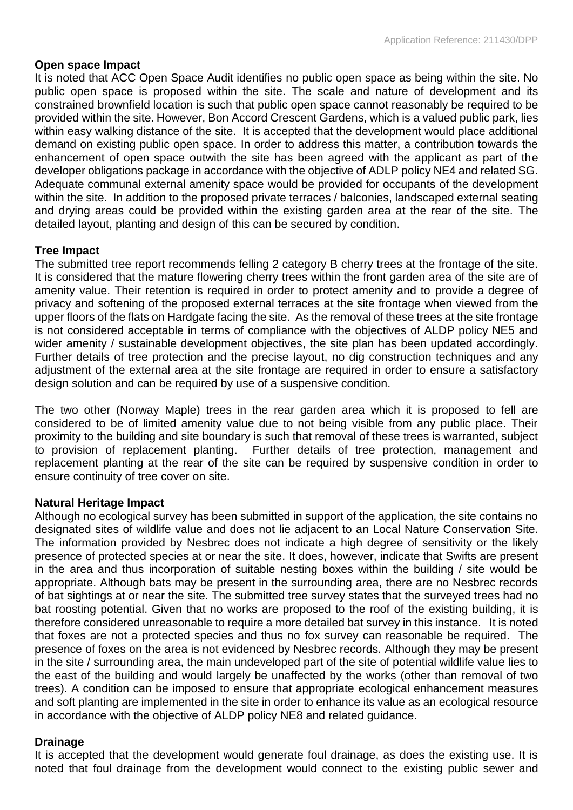## **Open space Impact**

It is noted that ACC Open Space Audit identifies no public open space as being within the site. No public open space is proposed within the site. The scale and nature of development and its constrained brownfield location is such that public open space cannot reasonably be required to be provided within the site. However, Bon Accord Crescent Gardens, which is a valued public park, lies within easy walking distance of the site. It is accepted that the development would place additional demand on existing public open space. In order to address this matter, a contribution towards the enhancement of open space outwith the site has been agreed with the applicant as part of the developer obligations package in accordance with the objective of ADLP policy NE4 and related SG. Adequate communal external amenity space would be provided for occupants of the development within the site. In addition to the proposed private terraces / balconies, landscaped external seating and drying areas could be provided within the existing garden area at the rear of the site. The detailed layout, planting and design of this can be secured by condition.

## **Tree Impact**

The submitted tree report recommends felling 2 category B cherry trees at the frontage of the site. It is considered that the mature flowering cherry trees within the front garden area of the site are of amenity value. Their retention is required in order to protect amenity and to provide a degree of privacy and softening of the proposed external terraces at the site frontage when viewed from the upper floors of the flats on Hardgate facing the site. As the removal of these trees at the site frontage is not considered acceptable in terms of compliance with the objectives of ALDP policy NE5 and wider amenity / sustainable development objectives, the site plan has been updated accordingly. Further details of tree protection and the precise layout, no dig construction techniques and any adjustment of the external area at the site frontage are required in order to ensure a satisfactory design solution and can be required by use of a suspensive condition.

The two other (Norway Maple) trees in the rear garden area which it is proposed to fell are considered to be of limited amenity value due to not being visible from any public place. Their proximity to the building and site boundary is such that removal of these trees is warranted, subject to provision of replacement planting. Further details of tree protection, management and replacement planting at the rear of the site can be required by suspensive condition in order to ensure continuity of tree cover on site.

## **Natural Heritage Impact**

Although no ecological survey has been submitted in support of the application, the site contains no designated sites of wildlife value and does not lie adjacent to an Local Nature Conservation Site. The information provided by Nesbrec does not indicate a high degree of sensitivity or the likely presence of protected species at or near the site. It does, however, indicate that Swifts are present in the area and thus incorporation of suitable nesting boxes within the building / site would be appropriate. Although bats may be present in the surrounding area, there are no Nesbrec records of bat sightings at or near the site. The submitted tree survey states that the surveyed trees had no bat roosting potential. Given that no works are proposed to the roof of the existing building, it is therefore considered unreasonable to require a more detailed bat survey in this instance. It is noted that foxes are not a protected species and thus no fox survey can reasonable be required. The presence of foxes on the area is not evidenced by Nesbrec records. Although they may be present in the site / surrounding area, the main undeveloped part of the site of potential wildlife value lies to the east of the building and would largely be unaffected by the works (other than removal of two trees). A condition can be imposed to ensure that appropriate ecological enhancement measures and soft planting are implemented in the site in order to enhance its value as an ecological resource in accordance with the objective of ALDP policy NE8 and related guidance.

## **Drainage**

It is accepted that the development would generate foul drainage, as does the existing use. It is noted that foul drainage from the development would connect to the existing public sewer and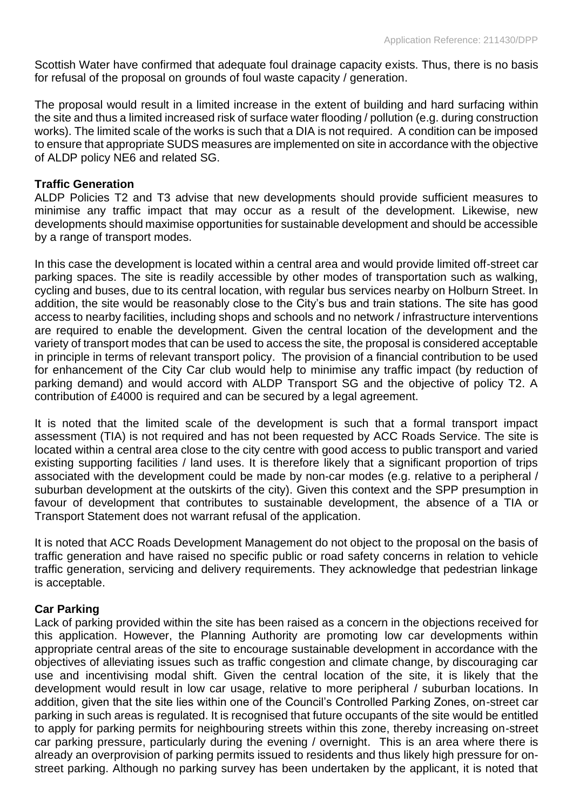Scottish Water have confirmed that adequate foul drainage capacity exists. Thus, there is no basis for refusal of the proposal on grounds of foul waste capacity / generation.

The proposal would result in a limited increase in the extent of building and hard surfacing within the site and thus a limited increased risk of surface water flooding / pollution (e.g. during construction works). The limited scale of the works is such that a DIA is not required. A condition can be imposed to ensure that appropriate SUDS measures are implemented on site in accordance with the objective of ALDP policy NE6 and related SG.

## **Traffic Generation**

ALDP Policies T2 and T3 advise that new developments should provide sufficient measures to minimise any traffic impact that may occur as a result of the development. Likewise, new developments should maximise opportunities for sustainable development and should be accessible by a range of transport modes.

In this case the development is located within a central area and would provide limited off-street car parking spaces. The site is readily accessible by other modes of transportation such as walking, cycling and buses, due to its central location, with regular bus services nearby on Holburn Street. In addition, the site would be reasonably close to the City's bus and train stations. The site has good access to nearby facilities, including shops and schools and no network / infrastructure interventions are required to enable the development. Given the central location of the development and the variety of transport modes that can be used to access the site, the proposal is considered acceptable in principle in terms of relevant transport policy. The provision of a financial contribution to be used for enhancement of the City Car club would help to minimise any traffic impact (by reduction of parking demand) and would accord with ALDP Transport SG and the objective of policy T2. A contribution of £4000 is required and can be secured by a legal agreement.

It is noted that the limited scale of the development is such that a formal transport impact assessment (TIA) is not required and has not been requested by ACC Roads Service. The site is located within a central area close to the city centre with good access to public transport and varied existing supporting facilities / land uses. It is therefore likely that a significant proportion of trips associated with the development could be made by non-car modes (e.g. relative to a peripheral / suburban development at the outskirts of the city). Given this context and the SPP presumption in favour of development that contributes to sustainable development, the absence of a TIA or Transport Statement does not warrant refusal of the application.

It is noted that ACC Roads Development Management do not object to the proposal on the basis of traffic generation and have raised no specific public or road safety concerns in relation to vehicle traffic generation, servicing and delivery requirements. They acknowledge that pedestrian linkage is acceptable.

## **Car Parking**

Lack of parking provided within the site has been raised as a concern in the objections received for this application. However, the Planning Authority are promoting low car developments within appropriate central areas of the site to encourage sustainable development in accordance with the objectives of alleviating issues such as traffic congestion and climate change, by discouraging car use and incentivising modal shift. Given the central location of the site, it is likely that the development would result in low car usage, relative to more peripheral / suburban locations. In addition, given that the site lies within one of the Council's Controlled Parking Zones, on-street car parking in such areas is regulated. It is recognised that future occupants of the site would be entitled to apply for parking permits for neighbouring streets within this zone, thereby increasing on-street car parking pressure, particularly during the evening / overnight. This is an area where there is already an overprovision of parking permits issued to residents and thus likely high pressure for onstreet parking. Although no parking survey has been undertaken by the applicant, it is noted that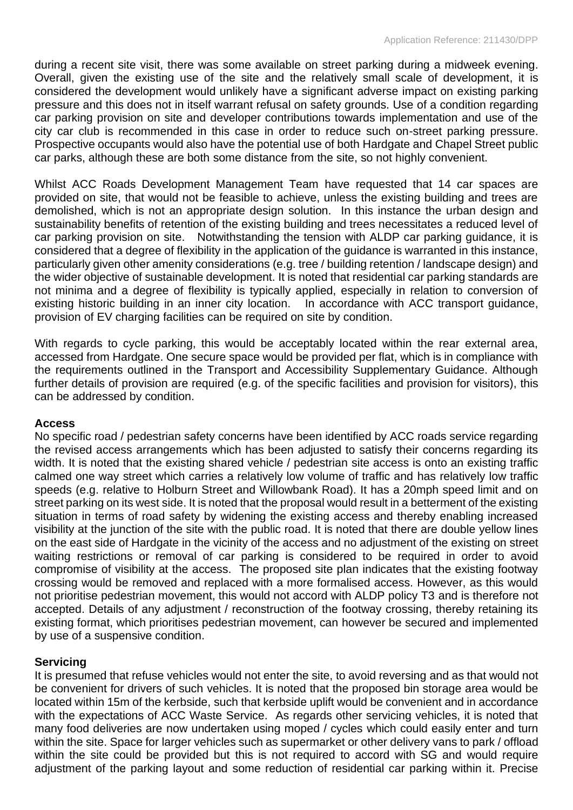during a recent site visit, there was some available on street parking during a midweek evening. Overall, given the existing use of the site and the relatively small scale of development, it is considered the development would unlikely have a significant adverse impact on existing parking pressure and this does not in itself warrant refusal on safety grounds. Use of a condition regarding car parking provision on site and developer contributions towards implementation and use of the city car club is recommended in this case in order to reduce such on-street parking pressure. Prospective occupants would also have the potential use of both Hardgate and Chapel Street public car parks, although these are both some distance from the site, so not highly convenient.

Whilst ACC Roads Development Management Team have requested that 14 car spaces are provided on site, that would not be feasible to achieve, unless the existing building and trees are demolished, which is not an appropriate design solution. In this instance the urban design and sustainability benefits of retention of the existing building and trees necessitates a reduced level of car parking provision on site. Notwithstanding the tension with ALDP car parking guidance, it is considered that a degree of flexibility in the application of the guidance is warranted in this instance, particularly given other amenity considerations (e.g. tree / building retention / landscape design) and the wider objective of sustainable development. It is noted that residential car parking standards are not minima and a degree of flexibility is typically applied, especially in relation to conversion of existing historic building in an inner city location. In accordance with ACC transport guidance, provision of EV charging facilities can be required on site by condition.

With regards to cycle parking, this would be acceptably located within the rear external area, accessed from Hardgate. One secure space would be provided per flat, which is in compliance with the requirements outlined in the Transport and Accessibility Supplementary Guidance. Although further details of provision are required (e.g. of the specific facilities and provision for visitors), this can be addressed by condition.

## **Access**

No specific road / pedestrian safety concerns have been identified by ACC roads service regarding the revised access arrangements which has been adjusted to satisfy their concerns regarding its width. It is noted that the existing shared vehicle / pedestrian site access is onto an existing traffic calmed one way street which carries a relatively low volume of traffic and has relatively low traffic speeds (e.g. relative to Holburn Street and Willowbank Road). It has a 20mph speed limit and on street parking on its west side. It is noted that the proposal would result in a betterment of the existing situation in terms of road safety by widening the existing access and thereby enabling increased visibility at the junction of the site with the public road. It is noted that there are double yellow lines on the east side of Hardgate in the vicinity of the access and no adjustment of the existing on street waiting restrictions or removal of car parking is considered to be required in order to avoid compromise of visibility at the access. The proposed site plan indicates that the existing footway crossing would be removed and replaced with a more formalised access. However, as this would not prioritise pedestrian movement, this would not accord with ALDP policy T3 and is therefore not accepted. Details of any adjustment / reconstruction of the footway crossing, thereby retaining its existing format, which prioritises pedestrian movement, can however be secured and implemented by use of a suspensive condition.

## **Servicing**

It is presumed that refuse vehicles would not enter the site, to avoid reversing and as that would not be convenient for drivers of such vehicles. It is noted that the proposed bin storage area would be located within 15m of the kerbside, such that kerbside uplift would be convenient and in accordance with the expectations of ACC Waste Service. As regards other servicing vehicles, it is noted that many food deliveries are now undertaken using moped / cycles which could easily enter and turn within the site. Space for larger vehicles such as supermarket or other delivery vans to park / offload within the site could be provided but this is not required to accord with SG and would require adjustment of the parking layout and some reduction of residential car parking within it. Precise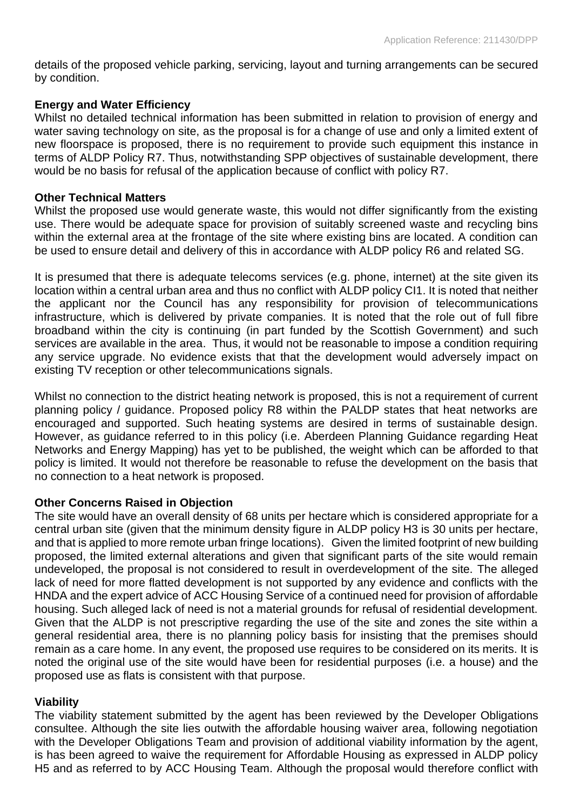details of the proposed vehicle parking, servicing, layout and turning arrangements can be secured by condition.

## **Energy and Water Efficiency**

Whilst no detailed technical information has been submitted in relation to provision of energy and water saving technology on site, as the proposal is for a change of use and only a limited extent of new floorspace is proposed, there is no requirement to provide such equipment this instance in terms of ALDP Policy R7. Thus, notwithstanding SPP objectives of sustainable development, there would be no basis for refusal of the application because of conflict with policy R7.

#### **Other Technical Matters**

Whilst the proposed use would generate waste, this would not differ significantly from the existing use. There would be adequate space for provision of suitably screened waste and recycling bins within the external area at the frontage of the site where existing bins are located. A condition can be used to ensure detail and delivery of this in accordance with ALDP policy R6 and related SG.

It is presumed that there is adequate telecoms services (e.g. phone, internet) at the site given its location within a central urban area and thus no conflict with ALDP policy CI1. It is noted that neither the applicant nor the Council has any responsibility for provision of telecommunications infrastructure, which is delivered by private companies. It is noted that the role out of full fibre broadband within the city is continuing (in part funded by the Scottish Government) and such services are available in the area. Thus, it would not be reasonable to impose a condition requiring any service upgrade. No evidence exists that that the development would adversely impact on existing TV reception or other telecommunications signals.

Whilst no connection to the district heating network is proposed, this is not a requirement of current planning policy / guidance. Proposed policy R8 within the PALDP states that heat networks are encouraged and supported. Such heating systems are desired in terms of sustainable design. However, as guidance referred to in this policy (i.e. Aberdeen Planning Guidance regarding Heat Networks and Energy Mapping) has yet to be published, the weight which can be afforded to that policy is limited. It would not therefore be reasonable to refuse the development on the basis that no connection to a heat network is proposed.

## **Other Concerns Raised in Objection**

The site would have an overall density of 68 units per hectare which is considered appropriate for a central urban site (given that the minimum density figure in ALDP policy H3 is 30 units per hectare, and that is applied to more remote urban fringe locations). Given the limited footprint of new building proposed, the limited external alterations and given that significant parts of the site would remain undeveloped, the proposal is not considered to result in overdevelopment of the site. The alleged lack of need for more flatted development is not supported by any evidence and conflicts with the HNDA and the expert advice of ACC Housing Service of a continued need for provision of affordable housing. Such alleged lack of need is not a material grounds for refusal of residential development. Given that the ALDP is not prescriptive regarding the use of the site and zones the site within a general residential area, there is no planning policy basis for insisting that the premises should remain as a care home. In any event, the proposed use requires to be considered on its merits. It is noted the original use of the site would have been for residential purposes (i.e. a house) and the proposed use as flats is consistent with that purpose.

## **Viability**

The viability statement submitted by the agent has been reviewed by the Developer Obligations consultee. Although the site lies outwith the affordable housing waiver area, following negotiation with the Developer Obligations Team and provision of additional viability information by the agent, is has been agreed to waive the requirement for Affordable Housing as expressed in ALDP policy H5 and as referred to by ACC Housing Team. Although the proposal would therefore conflict with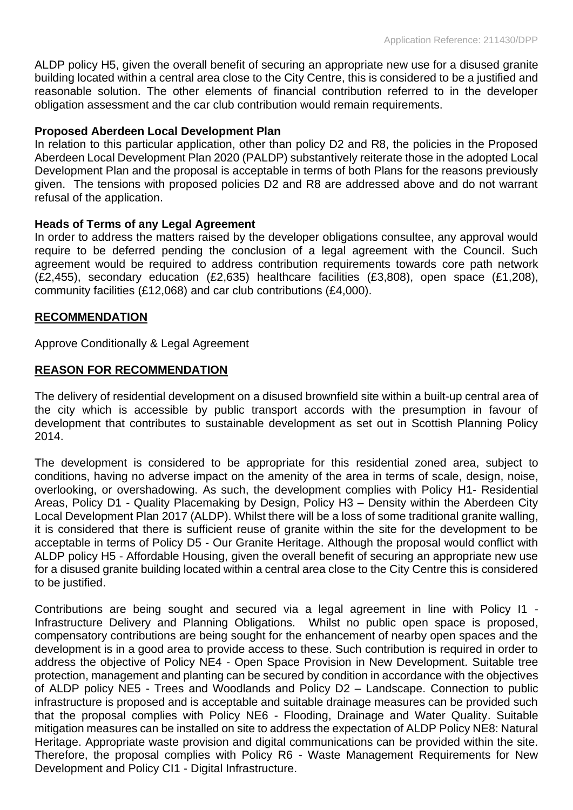ALDP policy H5, given the overall benefit of securing an appropriate new use for a disused granite building located within a central area close to the City Centre, this is considered to be a justified and reasonable solution. The other elements of financial contribution referred to in the developer obligation assessment and the car club contribution would remain requirements.

## **Proposed Aberdeen Local Development Plan**

In relation to this particular application, other than policy D2 and R8, the policies in the Proposed Aberdeen Local Development Plan 2020 (PALDP) substantively reiterate those in the adopted Local Development Plan and the proposal is acceptable in terms of both Plans for the reasons previously given. The tensions with proposed policies D2 and R8 are addressed above and do not warrant refusal of the application.

## **Heads of Terms of any Legal Agreement**

In order to address the matters raised by the developer obligations consultee, any approval would require to be deferred pending the conclusion of a legal agreement with the Council. Such agreement would be required to address contribution requirements towards core path network (£2,455), secondary education (£2,635) healthcare facilities (£3,808), open space (£1,208), community facilities (£12,068) and car club contributions (£4,000).

## **RECOMMENDATION**

Approve Conditionally & Legal Agreement

## **REASON FOR RECOMMENDATION**

The delivery of residential development on a disused brownfield site within a built-up central area of the city which is accessible by public transport accords with the presumption in favour of development that contributes to sustainable development as set out in Scottish Planning Policy 2014.

The development is considered to be appropriate for this residential zoned area, subject to conditions, having no adverse impact on the amenity of the area in terms of scale, design, noise, overlooking, or overshadowing. As such, the development complies with Policy H1- Residential Areas, Policy D1 - Quality Placemaking by Design, Policy H3 – Density within the Aberdeen City Local Development Plan 2017 (ALDP). Whilst there will be a loss of some traditional granite walling, it is considered that there is sufficient reuse of granite within the site for the development to be acceptable in terms of Policy D5 - Our Granite Heritage. Although the proposal would conflict with ALDP policy H5 - Affordable Housing, given the overall benefit of securing an appropriate new use for a disused granite building located within a central area close to the City Centre this is considered to be justified.

Contributions are being sought and secured via a legal agreement in line with Policy I1 - Infrastructure Delivery and Planning Obligations. Whilst no public open space is proposed, compensatory contributions are being sought for the enhancement of nearby open spaces and the development is in a good area to provide access to these. Such contribution is required in order to address the objective of Policy NE4 - Open Space Provision in New Development. Suitable tree protection, management and planting can be secured by condition in accordance with the objectives of ALDP policy NE5 - Trees and Woodlands and Policy D2 – Landscape. Connection to public infrastructure is proposed and is acceptable and suitable drainage measures can be provided such that the proposal complies with Policy NE6 - Flooding, Drainage and Water Quality. Suitable mitigation measures can be installed on site to address the expectation of ALDP Policy NE8: Natural Heritage. Appropriate waste provision and digital communications can be provided within the site. Therefore, the proposal complies with Policy R6 - Waste Management Requirements for New Development and Policy CI1 - Digital Infrastructure.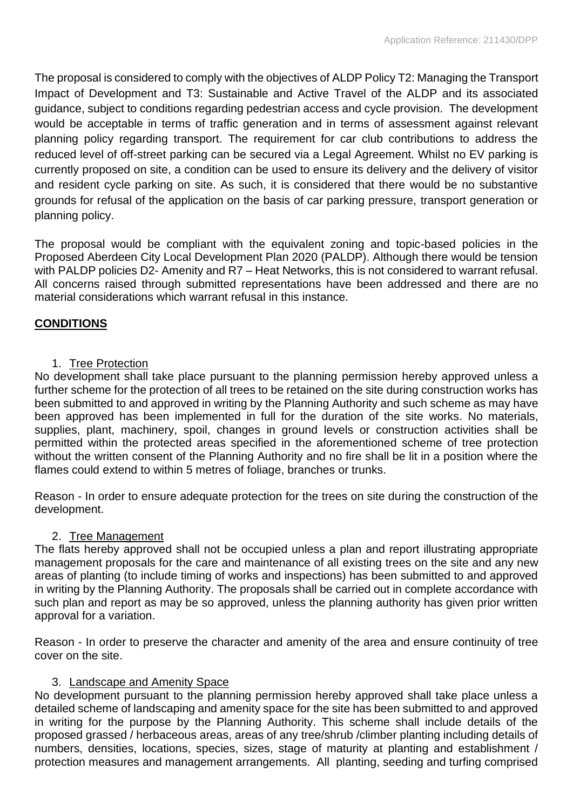The proposal is considered to comply with the objectives of ALDP Policy T2: Managing the Transport Impact of Development and T3: Sustainable and Active Travel of the ALDP and its associated guidance, subject to conditions regarding pedestrian access and cycle provision. The development would be acceptable in terms of traffic generation and in terms of assessment against relevant planning policy regarding transport. The requirement for car club contributions to address the reduced level of off-street parking can be secured via a Legal Agreement. Whilst no EV parking is currently proposed on site, a condition can be used to ensure its delivery and the delivery of visitor and resident cycle parking on site. As such, it is considered that there would be no substantive grounds for refusal of the application on the basis of car parking pressure, transport generation or planning policy.

The proposal would be compliant with the equivalent zoning and topic-based policies in the Proposed Aberdeen City Local Development Plan 2020 (PALDP). Although there would be tension with PALDP policies D2- Amenity and R7 – Heat Networks, this is not considered to warrant refusal. All concerns raised through submitted representations have been addressed and there are no material considerations which warrant refusal in this instance.

# **CONDITIONS**

## 1. Tree Protection

No development shall take place pursuant to the planning permission hereby approved unless a further scheme for the protection of all trees to be retained on the site during construction works has been submitted to and approved in writing by the Planning Authority and such scheme as may have been approved has been implemented in full for the duration of the site works. No materials, supplies, plant, machinery, spoil, changes in ground levels or construction activities shall be permitted within the protected areas specified in the aforementioned scheme of tree protection without the written consent of the Planning Authority and no fire shall be lit in a position where the flames could extend to within 5 metres of foliage, branches or trunks.

Reason - In order to ensure adequate protection for the trees on site during the construction of the development.

## 2. Tree Management

The flats hereby approved shall not be occupied unless a plan and report illustrating appropriate management proposals for the care and maintenance of all existing trees on the site and any new areas of planting (to include timing of works and inspections) has been submitted to and approved in writing by the Planning Authority. The proposals shall be carried out in complete accordance with such plan and report as may be so approved, unless the planning authority has given prior written approval for a variation.

Reason - In order to preserve the character and amenity of the area and ensure continuity of tree cover on the site.

## 3. Landscape and Amenity Space

No development pursuant to the planning permission hereby approved shall take place unless a detailed scheme of landscaping and amenity space for the site has been submitted to and approved in writing for the purpose by the Planning Authority. This scheme shall include details of the proposed grassed / herbaceous areas, areas of any tree/shrub /climber planting including details of numbers, densities, locations, species, sizes, stage of maturity at planting and establishment / protection measures and management arrangements. All planting, seeding and turfing comprised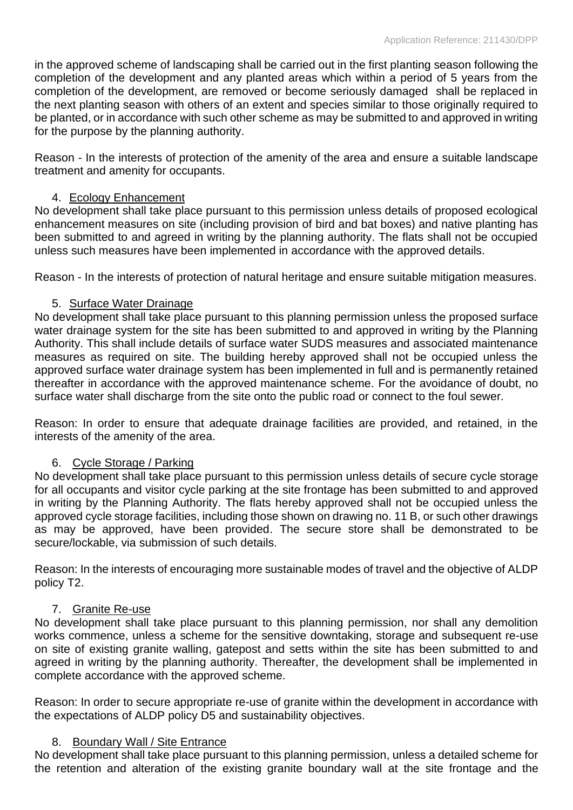in the approved scheme of landscaping shall be carried out in the first planting season following the completion of the development and any planted areas which within a period of 5 years from the completion of the development, are removed or become seriously damaged shall be replaced in the next planting season with others of an extent and species similar to those originally required to be planted, or in accordance with such other scheme as may be submitted to and approved in writing for the purpose by the planning authority.

Reason - In the interests of protection of the amenity of the area and ensure a suitable landscape treatment and amenity for occupants.

# 4. Ecology Enhancement

No development shall take place pursuant to this permission unless details of proposed ecological enhancement measures on site (including provision of bird and bat boxes) and native planting has been submitted to and agreed in writing by the planning authority. The flats shall not be occupied unless such measures have been implemented in accordance with the approved details.

Reason - In the interests of protection of natural heritage and ensure suitable mitigation measures.

# 5. Surface Water Drainage

No development shall take place pursuant to this planning permission unless the proposed surface water drainage system for the site has been submitted to and approved in writing by the Planning Authority. This shall include details of surface water SUDS measures and associated maintenance measures as required on site. The building hereby approved shall not be occupied unless the approved surface water drainage system has been implemented in full and is permanently retained thereafter in accordance with the approved maintenance scheme. For the avoidance of doubt, no surface water shall discharge from the site onto the public road or connect to the foul sewer.

Reason: In order to ensure that adequate drainage facilities are provided, and retained, in the interests of the amenity of the area.

## 6. Cycle Storage / Parking

No development shall take place pursuant to this permission unless details of secure cycle storage for all occupants and visitor cycle parking at the site frontage has been submitted to and approved in writing by the Planning Authority. The flats hereby approved shall not be occupied unless the approved cycle storage facilities, including those shown on drawing no. 11 B, or such other drawings as may be approved, have been provided. The secure store shall be demonstrated to be secure/lockable, via submission of such details.

Reason: In the interests of encouraging more sustainable modes of travel and the objective of ALDP policy T2.

## 7. Granite Re-use

No development shall take place pursuant to this planning permission, nor shall any demolition works commence, unless a scheme for the sensitive downtaking, storage and subsequent re-use on site of existing granite walling, gatepost and setts within the site has been submitted to and agreed in writing by the planning authority. Thereafter, the development shall be implemented in complete accordance with the approved scheme.

Reason: In order to secure appropriate re-use of granite within the development in accordance with the expectations of ALDP policy D5 and sustainability objectives.

## 8. Boundary Wall / Site Entrance

No development shall take place pursuant to this planning permission, unless a detailed scheme for the retention and alteration of the existing granite boundary wall at the site frontage and the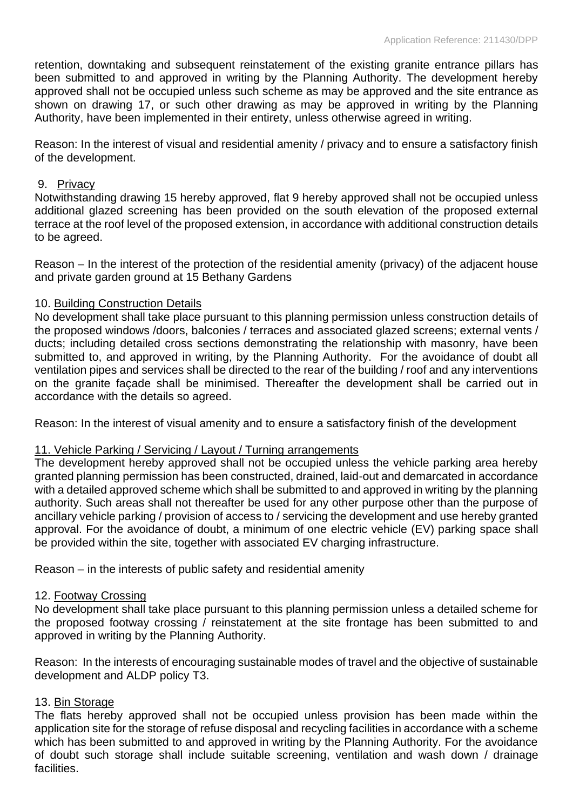retention, downtaking and subsequent reinstatement of the existing granite entrance pillars has been submitted to and approved in writing by the Planning Authority. The development hereby approved shall not be occupied unless such scheme as may be approved and the site entrance as shown on drawing 17, or such other drawing as may be approved in writing by the Planning Authority, have been implemented in their entirety, unless otherwise agreed in writing.

Reason: In the interest of visual and residential amenity / privacy and to ensure a satisfactory finish of the development.

## 9. Privacy

Notwithstanding drawing 15 hereby approved, flat 9 hereby approved shall not be occupied unless additional glazed screening has been provided on the south elevation of the proposed external terrace at the roof level of the proposed extension, in accordance with additional construction details to be agreed.

Reason – In the interest of the protection of the residential amenity (privacy) of the adjacent house and private garden ground at 15 Bethany Gardens

## 10. Building Construction Details

No development shall take place pursuant to this planning permission unless construction details of the proposed windows /doors, balconies / terraces and associated glazed screens; external vents / ducts; including detailed cross sections demonstrating the relationship with masonry, have been submitted to, and approved in writing, by the Planning Authority. For the avoidance of doubt all ventilation pipes and services shall be directed to the rear of the building / roof and any interventions on the granite façade shall be minimised. Thereafter the development shall be carried out in accordance with the details so agreed.

Reason: In the interest of visual amenity and to ensure a satisfactory finish of the development

#### 11. Vehicle Parking / Servicing / Layout / Turning arrangements

The development hereby approved shall not be occupied unless the vehicle parking area hereby granted planning permission has been constructed, drained, laid-out and demarcated in accordance with a detailed approved scheme which shall be submitted to and approved in writing by the planning authority. Such areas shall not thereafter be used for any other purpose other than the purpose of ancillary vehicle parking / provision of access to / servicing the development and use hereby granted approval. For the avoidance of doubt, a minimum of one electric vehicle (EV) parking space shall be provided within the site, together with associated EV charging infrastructure.

Reason – in the interests of public safety and residential amenity

#### 12. Footway Crossing

No development shall take place pursuant to this planning permission unless a detailed scheme for the proposed footway crossing / reinstatement at the site frontage has been submitted to and approved in writing by the Planning Authority.

Reason: In the interests of encouraging sustainable modes of travel and the objective of sustainable development and ALDP policy T3.

## 13. Bin Storage

The flats hereby approved shall not be occupied unless provision has been made within the application site for the storage of refuse disposal and recycling facilities in accordance with a scheme which has been submitted to and approved in writing by the Planning Authority. For the avoidance of doubt such storage shall include suitable screening, ventilation and wash down / drainage facilities.